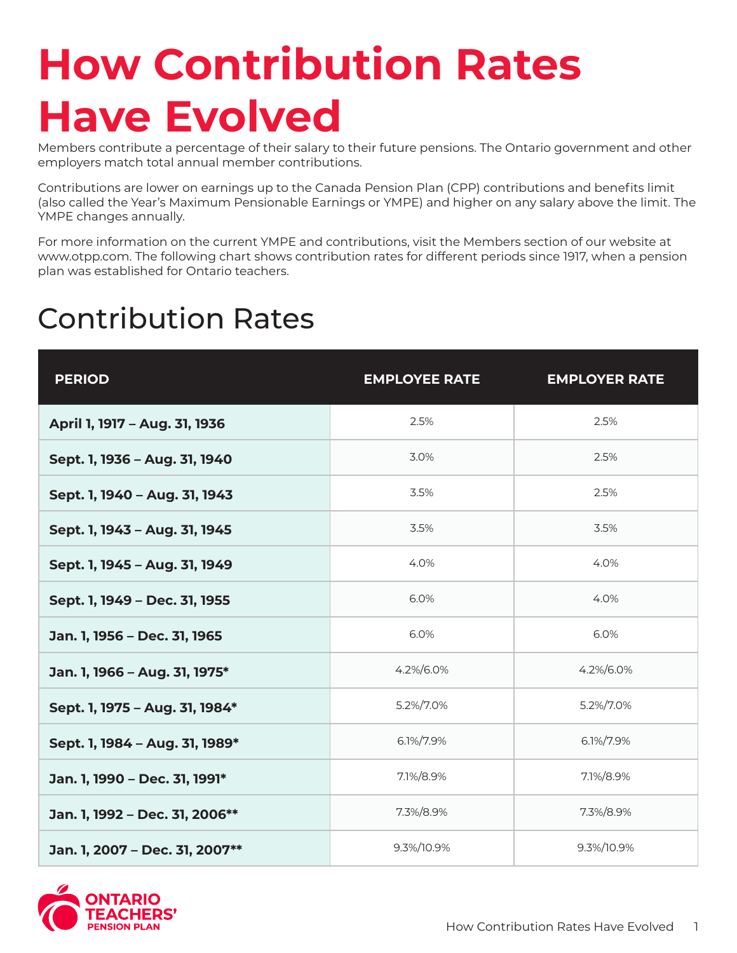## **How Contribution Rates Have Evolved**

Members contribute a percentage of their salary to their future pensions. The Ontario government and other employers match total annual member contributions.

Contributions are lower on earnings up to the Canada Pension Plan (CPP) contributions and benefits limit (also called the Year's Maximum Pensionable Earnings or YMPE) and higher on any salary above the limit. The YMPE changes annually.

For more information on the current YMPE and contributions, visit the Members section of our website at www.otpp.com. The following chart shows contribution rates for different periods since 1917, when a pension plan was established for Ontario teachers.

## Contribution Rates

| <b>PERIOD</b>                  | <b>EMPLOYEE RATE</b> | <b>EMPLOYER RATE</b> |
|--------------------------------|----------------------|----------------------|
| April 1, 1917 - Aug. 31, 1936  | 2.5%                 | 2.5%                 |
| Sept. 1, 1936 - Aug. 31, 1940  | 3.0%                 | 2.5%                 |
| Sept. 1, 1940 - Aug. 31, 1943  | 3.5%                 | 2.5%                 |
| Sept. 1, 1943 - Aug. 31, 1945  | 3.5%                 | 3.5%                 |
| Sept. 1, 1945 - Aug. 31, 1949  | 4.0%                 | 4.0%                 |
| Sept. 1, 1949 - Dec. 31, 1955  | 6.0%                 | 4.0%                 |
| Jan. 1, 1956 - Dec. 31, 1965   | 6.0%                 | 6.0%                 |
| Jan. 1, 1966 - Aug. 31, 1975*  | 4.2%/6.0%            | 4.2%/6.0%            |
| Sept. 1, 1975 - Aug. 31, 1984* | 5.2%/7.0%            | 5.2%/7.0%            |
| Sept. 1, 1984 - Aug. 31, 1989* | 6.1%/7.9%            | 6.1%/7.9%            |
| Jan. 1, 1990 - Dec. 31, 1991*  | 7.1%/8.9%            | 7.1%/8.9%            |
| Jan. 1, 1992 - Dec. 31, 2006** | 7.3%/8.9%            | 7.3%/8.9%            |
| Jan. 1, 2007 - Dec. 31, 2007** | 9.3%/10.9%           | 9.3%/10.9%           |